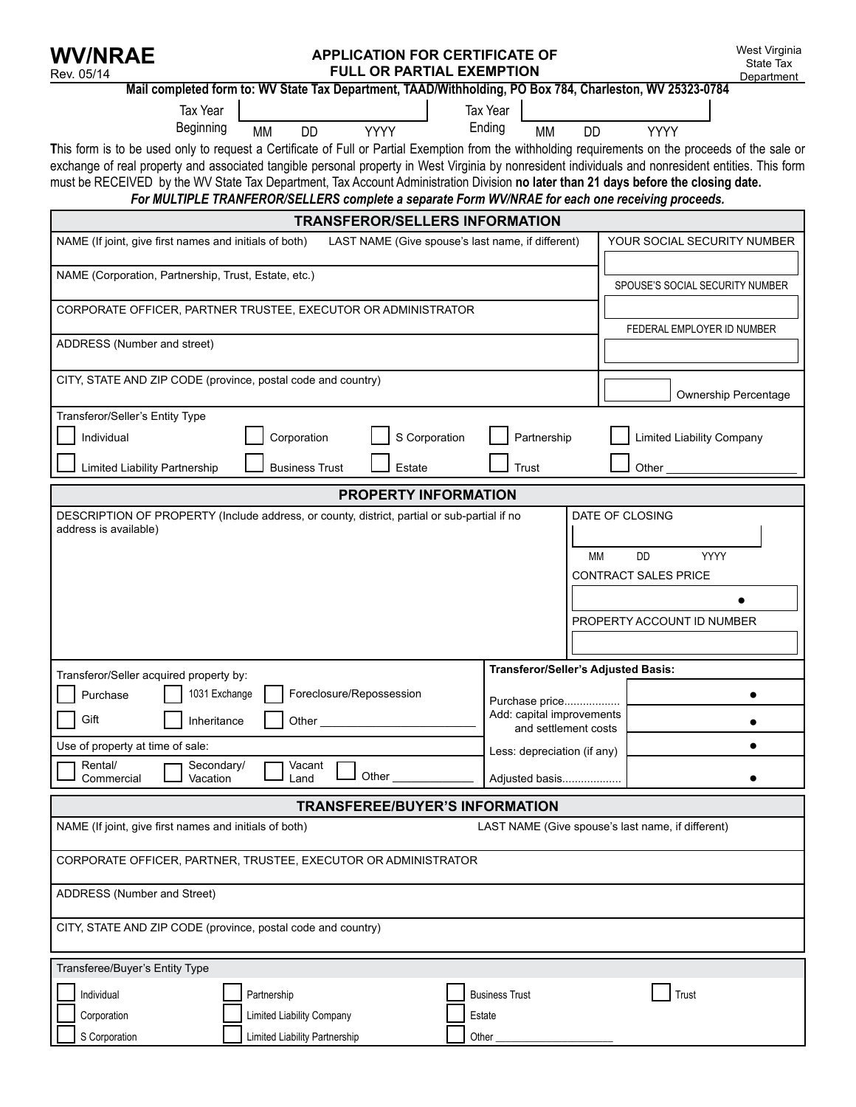| <b>WV/NRAE</b><br>Rev. 05/14                                                                                                                                                                                                                                                                                                                                                                                                                                               | West Virginia<br><b>APPLICATION FOR CERTIFICATE OF</b><br>State Tax<br><b>FULL OR PARTIAL EXEMPTION</b><br>Department |                                                                                                                      |                                     |                        |                                                                                       |  |  |
|----------------------------------------------------------------------------------------------------------------------------------------------------------------------------------------------------------------------------------------------------------------------------------------------------------------------------------------------------------------------------------------------------------------------------------------------------------------------------|-----------------------------------------------------------------------------------------------------------------------|----------------------------------------------------------------------------------------------------------------------|-------------------------------------|------------------------|---------------------------------------------------------------------------------------|--|--|
| Mail completed form to: WV State Tax Department, TAAD/Withholding, PO Box 784, Charleston, WV 25323-0784                                                                                                                                                                                                                                                                                                                                                                   |                                                                                                                       |                                                                                                                      |                                     |                        |                                                                                       |  |  |
| Tax Year<br>Beginning<br>This form is to be used only to request a Certificate of Full or Partial Exemption from the withholding requirements on the proceeds of the sale or<br>exchange of real property and associated tangible personal property in West Virginia by nonresident individuals and nonresident entities. This form<br>must be RECEIVED by the WV State Tax Department, Tax Account Administration Division no later than 21 days before the closing date. | <b>MM</b><br><b>DD</b>                                                                                                | <b>YYYY</b>                                                                                                          | Tax Year<br>Ending<br><b>MM</b>     | <b>DD</b>              | <b>YYYY</b>                                                                           |  |  |
| For MULTIPLE TRANFEROR/SELLERS complete a separate Form WV/NRAE for each one receiving proceeds.                                                                                                                                                                                                                                                                                                                                                                           |                                                                                                                       |                                                                                                                      |                                     |                        |                                                                                       |  |  |
|                                                                                                                                                                                                                                                                                                                                                                                                                                                                            |                                                                                                                       | <b>TRANSFEROR/SELLERS INFORMATION</b>                                                                                |                                     |                        |                                                                                       |  |  |
|                                                                                                                                                                                                                                                                                                                                                                                                                                                                            | NAME (If joint, give first names and initials of both)<br>LAST NAME (Give spouse's last name, if different)           |                                                                                                                      |                                     |                        | YOUR SOCIAL SECURITY NUMBER                                                           |  |  |
|                                                                                                                                                                                                                                                                                                                                                                                                                                                                            | NAME (Corporation, Partnership, Trust, Estate, etc.)                                                                  |                                                                                                                      |                                     |                        | SPOUSE'S SOCIAL SECURITY NUMBER                                                       |  |  |
| CORPORATE OFFICER, PARTNER TRUSTEE, EXECUTOR OR ADMINISTRATOR                                                                                                                                                                                                                                                                                                                                                                                                              |                                                                                                                       |                                                                                                                      |                                     |                        | FEDERAL EMPLOYER ID NUMBER                                                            |  |  |
| ADDRESS (Number and street)                                                                                                                                                                                                                                                                                                                                                                                                                                                |                                                                                                                       |                                                                                                                      |                                     |                        |                                                                                       |  |  |
|                                                                                                                                                                                                                                                                                                                                                                                                                                                                            | CITY, STATE AND ZIP CODE (province, postal code and country)                                                          |                                                                                                                      |                                     |                        | <b>Ownership Percentage</b>                                                           |  |  |
| Transferor/Seller's Entity Type<br>Individual<br>Limited Liability Partnership                                                                                                                                                                                                                                                                                                                                                                                             | Corporation<br><b>Business Trust</b>                                                                                  | S Corporation<br>Estate                                                                                              | Partnership<br>Trust                |                        | <b>Limited Liability Company</b><br>Other                                             |  |  |
|                                                                                                                                                                                                                                                                                                                                                                                                                                                                            |                                                                                                                       | <b>PROPERTY INFORMATION</b>                                                                                          |                                     |                        |                                                                                       |  |  |
| DESCRIPTION OF PROPERTY (Include address, or county, district, partial or sub-partial if no<br>address is available)                                                                                                                                                                                                                                                                                                                                                       |                                                                                                                       |                                                                                                                      |                                     | DATE OF CLOSING<br>МM  | <b>DD</b><br><b>YYYY</b><br><b>CONTRACT SALES PRICE</b><br>PROPERTY ACCOUNT ID NUMBER |  |  |
| Transferor/Seller acquired property by:                                                                                                                                                                                                                                                                                                                                                                                                                                    |                                                                                                                       |                                                                                                                      | Transferor/Seller's Adjusted Basis: |                        |                                                                                       |  |  |
| 1031 Exchange<br>Foreclosure/Repossession<br>Purchase<br>Gift<br>Inheritance<br>Other_<br>Use of property at time of sale:<br>Rental/<br>Secondary/<br>Vacant<br>Other<br>Vacation<br>Commercial<br>Land                                                                                                                                                                                                                                                                   |                                                                                                                       | Purchase price<br>Add: capital improvements<br>and settlement costs<br>Less: depreciation (if any)<br>Adjusted basis |                                     | $\bullet$<br>$\bullet$ |                                                                                       |  |  |
| <b>TRANSFEREE/BUYER'S INFORMATION</b>                                                                                                                                                                                                                                                                                                                                                                                                                                      |                                                                                                                       |                                                                                                                      |                                     |                        |                                                                                       |  |  |
| NAME (If joint, give first names and initials of both)<br>LAST NAME (Give spouse's last name, if different)                                                                                                                                                                                                                                                                                                                                                                |                                                                                                                       |                                                                                                                      |                                     |                        |                                                                                       |  |  |
| CORPORATE OFFICER, PARTNER, TRUSTEE, EXECUTOR OR ADMINISTRATOR                                                                                                                                                                                                                                                                                                                                                                                                             |                                                                                                                       |                                                                                                                      |                                     |                        |                                                                                       |  |  |
| ADDRESS (Number and Street)                                                                                                                                                                                                                                                                                                                                                                                                                                                |                                                                                                                       |                                                                                                                      |                                     |                        |                                                                                       |  |  |
| CITY, STATE AND ZIP CODE (province, postal code and country)                                                                                                                                                                                                                                                                                                                                                                                                               |                                                                                                                       |                                                                                                                      |                                     |                        |                                                                                       |  |  |
| Transferee/Buyer's Entity Type<br>Individual<br>Corporation                                                                                                                                                                                                                                                                                                                                                                                                                | Partnership<br>Limited Liability Company                                                                              | Estate                                                                                                               | <b>Business Trust</b>               |                        | Trust                                                                                 |  |  |
| S Corporation                                                                                                                                                                                                                                                                                                                                                                                                                                                              | Limited Liability Partnership                                                                                         | Other                                                                                                                |                                     |                        |                                                                                       |  |  |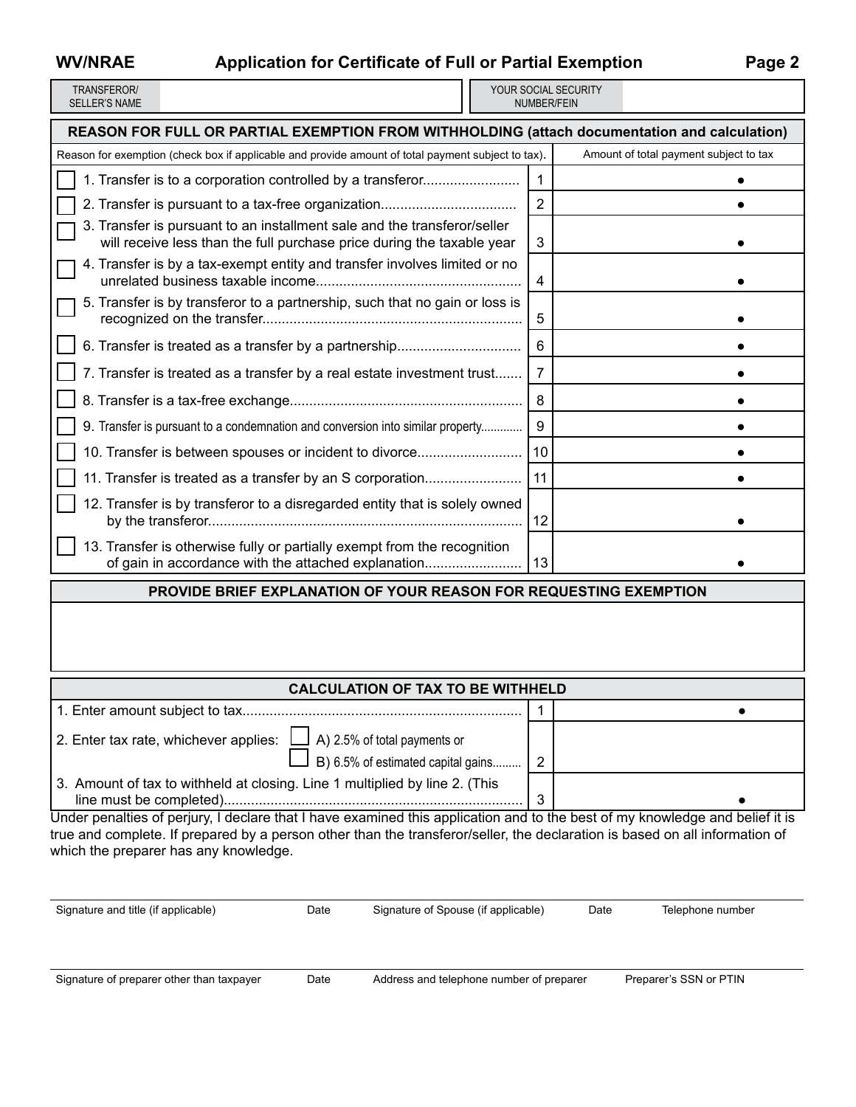# **WV/NRAE Application for Certificate of Full or Partial Exemption Page 2**

| TRANSFFROR/   |
|---------------|
| SELLER'S NAME |

YOUR SOCIAL SECURITY number/fein

| REASON FOR FULL OR PARTIAL EXEMPTION FROM WITHHOLDING (attach documentation and calculation)                                                       |    |                                        |  |  |  |  |  |
|----------------------------------------------------------------------------------------------------------------------------------------------------|----|----------------------------------------|--|--|--|--|--|
| Reason for exemption (check box if applicable and provide amount of total payment subject to tax).                                                 |    | Amount of total payment subject to tax |  |  |  |  |  |
| 1. Transfer is to a corporation controlled by a transferor                                                                                         | 1  |                                        |  |  |  |  |  |
|                                                                                                                                                    | 2  |                                        |  |  |  |  |  |
| 3. Transfer is pursuant to an installment sale and the transferor/seller<br>will receive less than the full purchase price during the taxable year | 3  |                                        |  |  |  |  |  |
| 4. Transfer is by a tax-exempt entity and transfer involves limited or no                                                                          | 4  |                                        |  |  |  |  |  |
| 5. Transfer is by transferor to a partnership, such that no gain or loss is                                                                        | 5  |                                        |  |  |  |  |  |
|                                                                                                                                                    | 6  |                                        |  |  |  |  |  |
| 7. Transfer is treated as a transfer by a real estate investment trust                                                                             | 7  |                                        |  |  |  |  |  |
|                                                                                                                                                    | 8  |                                        |  |  |  |  |  |
| 9. Transfer is pursuant to a condemnation and conversion into similar property                                                                     | 9  |                                        |  |  |  |  |  |
| 10. Transfer is between spouses or incident to divorce                                                                                             | 10 |                                        |  |  |  |  |  |
| 11. Transfer is treated as a transfer by an S corporation                                                                                          | 11 |                                        |  |  |  |  |  |
| 12. Transfer is by transferor to a disregarded entity that is solely owned                                                                         | 12 |                                        |  |  |  |  |  |
| 13. Transfer is otherwise fully or partially exempt from the recognition<br>of gain in accordance with the attached explanation                    | 13 |                                        |  |  |  |  |  |

### **Provide brief explanation of your reason for requesting exemption**

# **CALCULATION OF TAX TO BE WITHHELD**

| <b>VALVULATIVIN VE TAA TU DE WELTILLED</b>                                                                             |   |  |  |  |
|------------------------------------------------------------------------------------------------------------------------|---|--|--|--|
|                                                                                                                        |   |  |  |  |
| 2. Enter tax rate, whichever applies: $\Box$ A) 2.5% of total payments or<br>$\Box$ B) 6.5% of estimated capital gains | 2 |  |  |  |
| 3. Amount of tax to withheld at closing. Line 1 multiplied by line 2. (This                                            |   |  |  |  |

Under penalties of perjury, I declare that I have examined this application and to the best of my knowledge and belief it is true and complete. If prepared by a person other than the transferor/seller, the declaration is based on all information of which the preparer has any knowledge.

Signature and title (if applicable) Date Signature of Spouse (if applicable) Date Telephone number

Signature of preparer other than taxpayer Date Address and telephone number of preparer Preparer's SSN or PTIN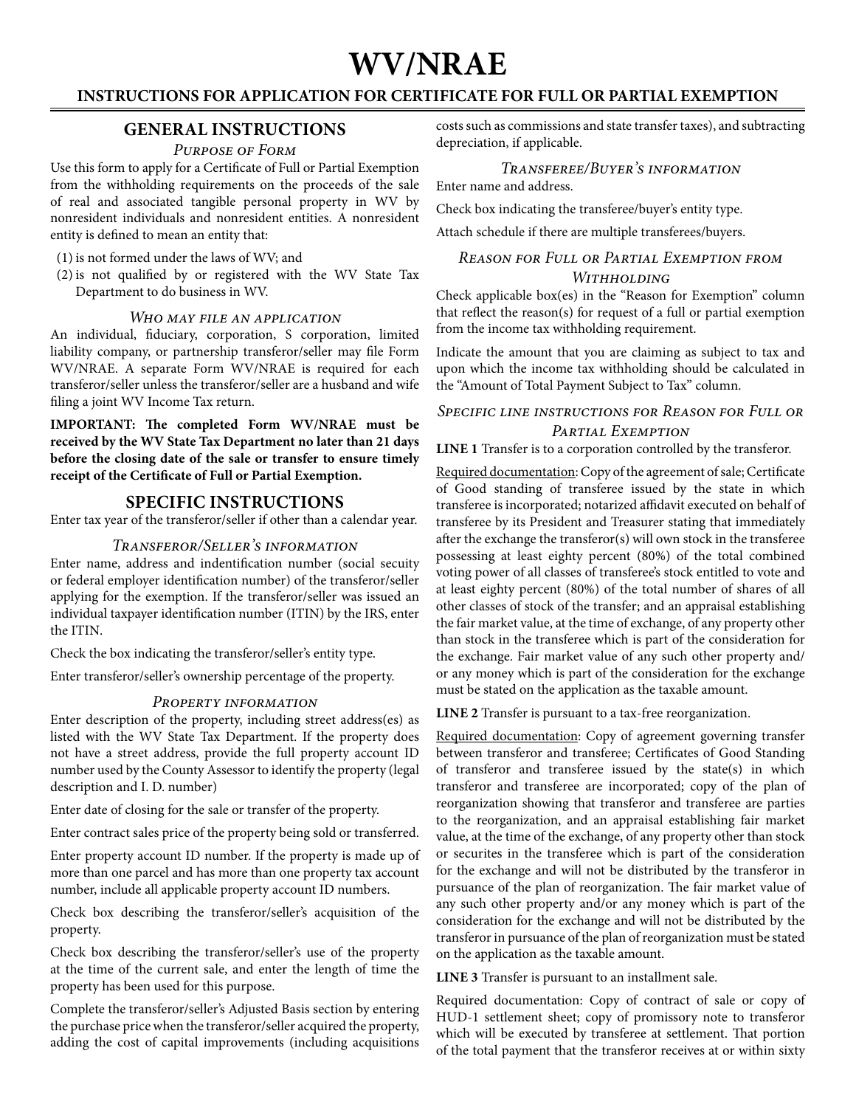# **WV/NRAE**

# **INSTRUCTIONS FOR APPLICATION FOR CERTIFICATE FOR FULL OR PARTIAL EXEMPTION**

# **GENERAL INSTRUCTIONS**

#### *Purpose of Form*

Use this form to apply for a Certificate of Full or Partial Exemption from the withholding requirements on the proceeds of the sale of real and associated tangible personal property in WV by nonresident individuals and nonresident entities. A nonresident entity is defined to mean an entity that:

(1) is not formed under the laws of WV; and

(2) is not qualified by or registered with the WV State Tax Department to do business in WV.

#### *Who may file an application*

An individual, fiduciary, corporation, S corporation, limited liability company, or partnership transferor/seller may file Form WV/NRAE. A separate Form WV/NRAE is required for each transferor/seller unless the transferor/seller are a husband and wife filing a joint WV Income Tax return.

**IMPORTANT: The completed Form WV/NRAE must be received by the WV State Tax Department no later than 21 days before the closing date of the sale or transfer to ensure timely receipt of the Certificate of Full or Partial Exemption.**

# **Specific instructions**

Enter tax year of the transferor/seller if other than a calendar year.

#### *Transferor/Seller's information*

Enter name, address and indentification number (social secuity or federal employer identification number) of the transferor/seller applying for the exemption. If the transferor/seller was issued an individual taxpayer identification number (ITIN) by the IRS, enter the ITIN.

Check the box indicating the transferor/seller's entity type.

Enter transferor/seller's ownership percentage of the property.

#### *Property information*

Enter description of the property, including street address(es) as listed with the WV State Tax Department. If the property does not have a street address, provide the full property account ID number used by the County Assessor to identify the property (legal description and I. D. number)

Enter date of closing for the sale or transfer of the property.

Enter contract sales price of the property being sold or transferred.

Enter property account ID number. If the property is made up of more than one parcel and has more than one property tax account number, include all applicable property account ID numbers.

Check box describing the transferor/seller's acquisition of the property.

Check box describing the transferor/seller's use of the property at the time of the current sale, and enter the length of time the property has been used for this purpose.

Complete the transferor/seller's Adjusted Basis section by entering the purchase price when the transferor/seller acquired the property, adding the cost of capital improvements (including acquisitions costs such as commissions and state transfer taxes), and subtracting depreciation, if applicable.

#### *Transferee/Buyer's information* Enter name and address.

Check box indicating the transferee/buyer's entity type.

Attach schedule if there are multiple transferees/buyers.

### *Reason for Full or Partial Exemption from Withholding*

Check applicable box(es) in the "Reason for Exemption" column that reflect the reason(s) for request of a full or partial exemption from the income tax withholding requirement.

Indicate the amount that you are claiming as subject to tax and upon which the income tax withholding should be calculated in the "Amount of Total Payment Subject to Tax" column.

# *Specific line instructions for Reason for Full or Partial Exemption*

**Line 1** Transfer is to a corporation controlled by the transferor.

Required documentation: Copy of the agreement of sale; Certificate of Good standing of transferee issued by the state in which transferee is incorporated; notarized affidavit executed on behalf of transferee by its President and Treasurer stating that immediately after the exchange the transferor(s) will own stock in the transferee possessing at least eighty percent (80%) of the total combined voting power of all classes of transferee's stock entitled to vote and at least eighty percent (80%) of the total number of shares of all other classes of stock of the transfer; and an appraisal establishing the fair market value, at the time of exchange, of any property other than stock in the transferee which is part of the consideration for the exchange. Fair market value of any such other property and/ or any money which is part of the consideration for the exchange must be stated on the application as the taxable amount.

**Line 2** Transfer is pursuant to a tax-free reorganization.

Required documentation: Copy of agreement governing transfer between transferor and transferee; Certificates of Good Standing of transferor and transferee issued by the state(s) in which transferor and transferee are incorporated; copy of the plan of reorganization showing that transferor and transferee are parties to the reorganization, and an appraisal establishing fair market value, at the time of the exchange, of any property other than stock or securites in the transferee which is part of the consideration for the exchange and will not be distributed by the transferor in pursuance of the plan of reorganization. The fair market value of any such other property and/or any money which is part of the consideration for the exchange and will not be distributed by the transferor in pursuance of the plan of reorganization must be stated on the application as the taxable amount.

**Line 3** Transfer is pursuant to an installment sale.

Required documentation: Copy of contract of sale or copy of HUD-1 settlement sheet; copy of promissory note to transferor which will be executed by transferee at settlement. That portion of the total payment that the transferor receives at or within sixty